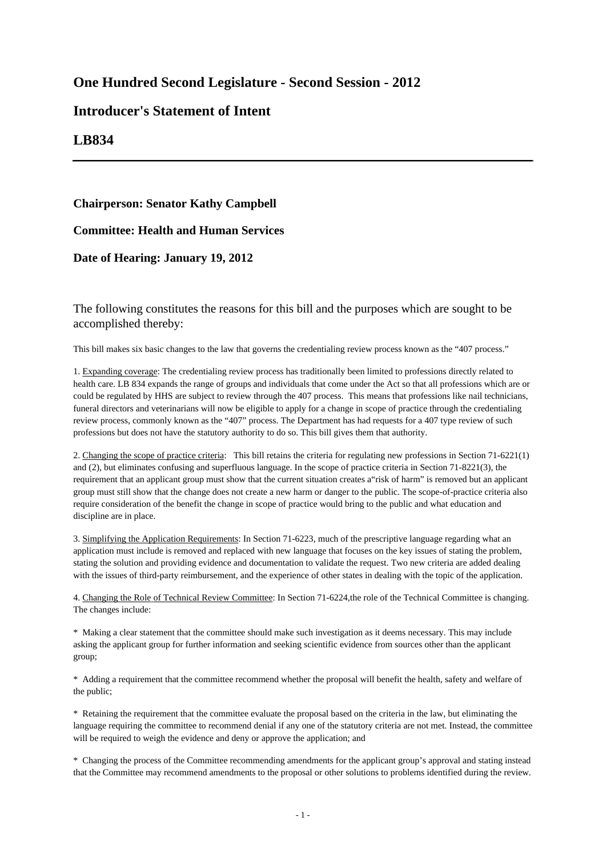# **One Hundred Second Legislature - Second Session - 2012**

# **Introducer's Statement of Intent**

## **LB834**

### **Chairperson: Senator Kathy Campbell**

**Committee: Health and Human Services**

#### **Date of Hearing: January 19, 2012**

The following constitutes the reasons for this bill and the purposes which are sought to be accomplished thereby:

This bill makes six basic changes to the law that governs the credentialing review process known as the "407 process."

1. Expanding coverage: The credentialing review process has traditionally been limited to professions directly related to health care. LB 834 expands the range of groups and individuals that come under the Act so that all professions which are or could be regulated by HHS are subject to review through the 407 process. This means that professions like nail technicians, funeral directors and veterinarians will now be eligible to apply for a change in scope of practice through the credentialing review process, commonly known as the "407" process. The Department has had requests for a 407 type review of such professions but does not have the statutory authority to do so. This bill gives them that authority.

2. Changing the scope of practice criteria: This bill retains the criteria for regulating new professions in Section 71-6221(1) and (2), but eliminates confusing and superfluous language. In the scope of practice criteria in Section 71-8221(3), the requirement that an applicant group must show that the current situation creates a"risk of harm" is removed but an applicant group must still show that the change does not create a new harm or danger to the public. The scope-of-practice criteria also require consideration of the benefit the change in scope of practice would bring to the public and what education and discipline are in place.

3. Simplifying the Application Requirements: In Section 71-6223, much of the prescriptive language regarding what an application must include is removed and replaced with new language that focuses on the key issues of stating the problem, stating the solution and providing evidence and documentation to validate the request. Two new criteria are added dealing with the issues of third-party reimbursement, and the experience of other states in dealing with the topic of the application.

4. Changing the Role of Technical Review Committee: In Section 71-6224,the role of the Technical Committee is changing. The changes include:

\* Making a clear statement that the committee should make such investigation as it deems necessary. This may include asking the applicant group for further information and seeking scientific evidence from sources other than the applicant group;

\* Adding a requirement that the committee recommend whether the proposal will benefit the health, safety and welfare of the public;

\* Retaining the requirement that the committee evaluate the proposal based on the criteria in the law, but eliminating the language requiring the committee to recommend denial if any one of the statutory criteria are not met. Instead, the committee will be required to weigh the evidence and deny or approve the application; and

\* Changing the process of the Committee recommending amendments for the applicant group's approval and stating instead that the Committee may recommend amendments to the proposal or other solutions to problems identified during the review.